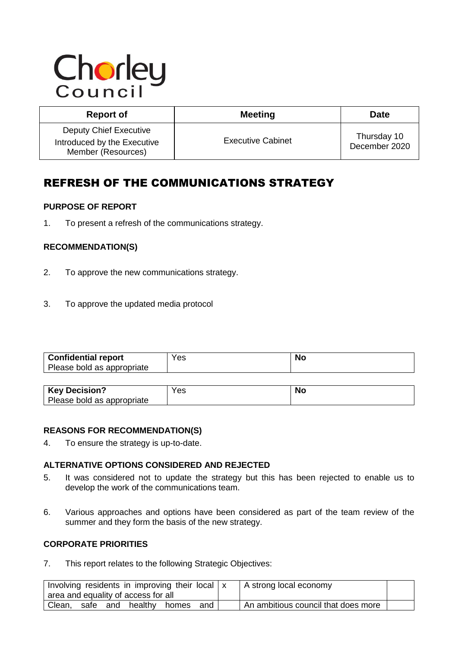# Chorley

| <b>Report of</b>                                                            | <b>Meeting</b>           | <b>Date</b>                  |
|-----------------------------------------------------------------------------|--------------------------|------------------------------|
| Deputy Chief Executive<br>Introduced by the Executive<br>Member (Resources) | <b>Executive Cabinet</b> | Thursday 10<br>December 2020 |

# REFRESH OF THE COMMUNICATIONS STRATEGY

# **PURPOSE OF REPORT**

1. To present a refresh of the communications strategy.

# **RECOMMENDATION(S)**

- 2. To approve the new communications strategy.
- 3. To approve the updated media protocol

| <b>Confidential report</b> | Yes | <b>Nc</b> |
|----------------------------|-----|-----------|
| Please bold as appropriate |     |           |

| <b>Key Decision?</b>       | Yes | NG |
|----------------------------|-----|----|
| Please bold as appropriate |     |    |

#### **REASONS FOR RECOMMENDATION(S)**

4. To ensure the strategy is up-to-date.

# **ALTERNATIVE OPTIONS CONSIDERED AND REJECTED**

- 5. It was considered not to update the strategy but this has been rejected to enable us to develop the work of the communications team.
- 6. Various approaches and options have been considered as part of the team review of the summer and they form the basis of the new strategy.

# **CORPORATE PRIORITIES**

7. This report relates to the following Strategic Objectives:

| Involving residents in improving their local   x<br>area and equality of access for all |             |       |     | A strong local economy              |  |
|-----------------------------------------------------------------------------------------|-------------|-------|-----|-------------------------------------|--|
| safe<br>Clean,                                                                          | and healthy | homes | and | An ambitious council that does more |  |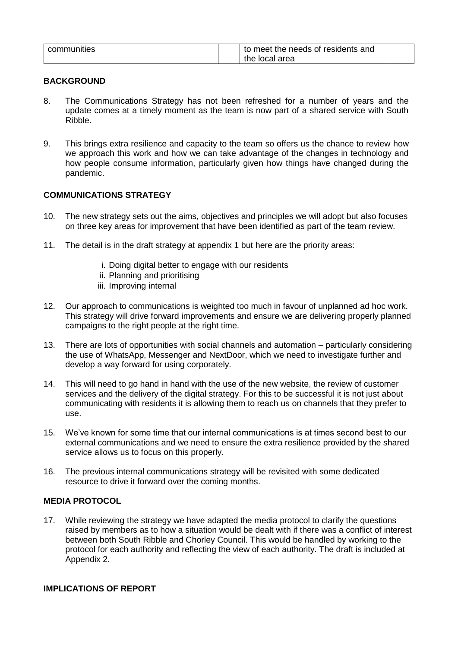| communities |  | to meet the needs of residents and |  |
|-------------|--|------------------------------------|--|
|             |  | the local area                     |  |

#### **BACKGROUND**

- 8. The Communications Strategy has not been refreshed for a number of years and the update comes at a timely moment as the team is now part of a shared service with South Ribble.
- 9. This brings extra resilience and capacity to the team so offers us the chance to review how we approach this work and how we can take advantage of the changes in technology and how people consume information, particularly given how things have changed during the pandemic.

#### **COMMUNICATIONS STRATEGY**

- 10. The new strategy sets out the aims, objectives and principles we will adopt but also focuses on three key areas for improvement that have been identified as part of the team review.
- 11. The detail is in the draft strategy at appendix 1 but here are the priority areas:
	- i. Doing digital better to engage with our residents
	- ii. Planning and prioritising
	- iii. Improving internal
- 12. Our approach to communications is weighted too much in favour of unplanned ad hoc work. This strategy will drive forward improvements and ensure we are delivering properly planned campaigns to the right people at the right time.
- 13. There are lots of opportunities with social channels and automation particularly considering the use of WhatsApp, Messenger and NextDoor, which we need to investigate further and develop a way forward for using corporately.
- 14. This will need to go hand in hand with the use of the new website, the review of customer services and the delivery of the digital strategy. For this to be successful it is not just about communicating with residents it is allowing them to reach us on channels that they prefer to use.
- 15. We've known for some time that our internal communications is at times second best to our external communications and we need to ensure the extra resilience provided by the shared service allows us to focus on this properly.
- 16. The previous internal communications strategy will be revisited with some dedicated resource to drive it forward over the coming months.

#### **MEDIA PROTOCOL**

17. While reviewing the strategy we have adapted the media protocol to clarify the questions raised by members as to how a situation would be dealt with if there was a conflict of interest between both South Ribble and Chorley Council. This would be handled by working to the protocol for each authority and reflecting the view of each authority. The draft is included at Appendix 2.

#### **IMPLICATIONS OF REPORT**